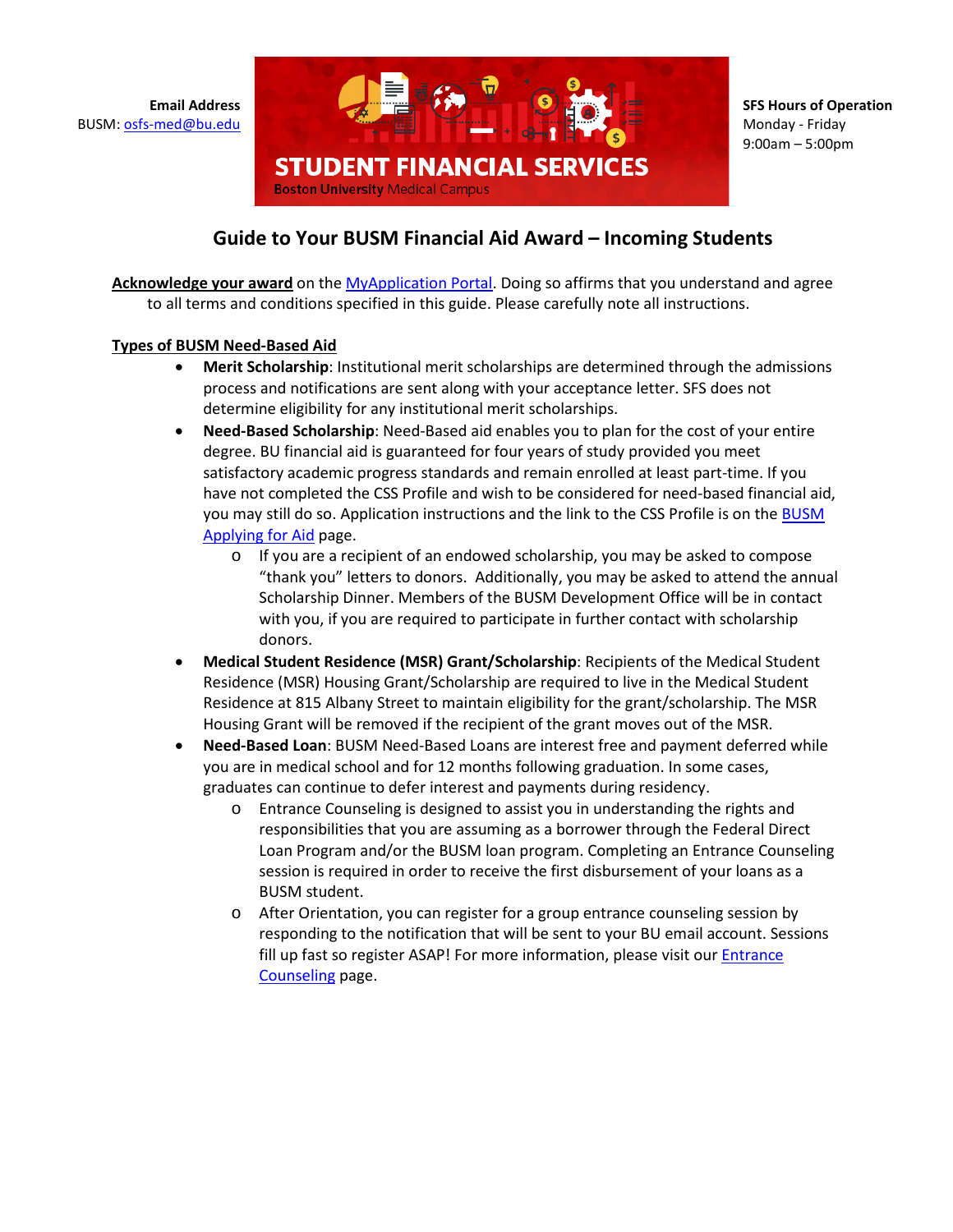

**SFS Hours of Operation**  Monday - Friday 9:00am – 5:00pm

## **Guide to Your BUSM Financial Aid Award – Incoming Students**

**Acknowledge your award** on the [MyApplication Portal.](https://myapplication.bumc.bu.edu/2022/) Doing so affirms that you understand and agree to all terms and conditions specified in this guide. Please carefully note all instructions.

## **Types of BUSM Need-Based Aid**

- **Merit Scholarship**: Institutional merit scholarships are determined through the admissions process and notifications are sent along with your acceptance letter. SFS does not determine eligibility for any institutional merit scholarships.
- **Need-Based Scholarship**: Need-Based aid enables you to plan for the cost of your entire degree. BU financial aid is guaranteed for four years of study provided you meet satisfactory academic progress standards and remain enrolled at least part-time. If you have not completed the CSS Profile and wish to be considered for need-based financial aid, you may still do so. Application instructions and the link to the CSS Profile is on the BUSM Applying for Aid page.
	- o If you are a recipient of an endowed scholarship, you may be asked to compose "thank you" letters to donors. Additionally, you may be asked to attend the annual Scholarship Dinner. Members of the BUSM Development Office will be in contact with you, if you are required to participate in further contact with scholarship donors.
- **Medical Student Residence (MSR) Grant/Scholarship**: Recipients of the Medical Student Residence (MSR) Housing Grant/Scholarship are required to live in the Medical Student Residence at 815 Albany Street to maintain eligibility for the grant/scholarship. The MSR Housing Grant will be removed if the recipient of the grant moves out of the MSR.
- **Need-Based Loan**: BUSM Need-Based Loans are interest free and payment deferred while you are in medical school and for 12 months following graduation. In some cases, graduates can continue to defer interest and payments during residency.
	- o Entrance Counseling is designed to assist you in understanding the rights and responsibilities that you are assuming as a borrower through the Federal Direct Loan Program and/or the BUSM loan program. Completing an Entrance Counseling session is required in order to receive the first disbursement of your loans as a BUSM student.
	- o After Orientation, you can register for a group entrance counseling session by responding to the notification that will be sent to your BU email account. Sessions fill up fast so register ASAP! For more information, please visit our Entrance [Counseling](https://www.bumc.bu.edu/osfs/resources/types-of-aid/loans/entrance-exit-counseling/) page.